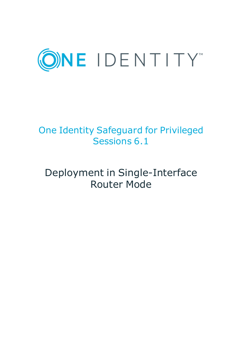

# One Identity Safeguard for Privileged Sessions 6.1

# Deployment in Single-Interface Router Mode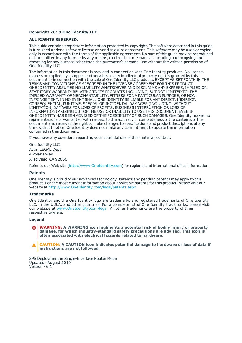### **Copyright 2019 One Identity LLC.**

#### **ALL RIGHTS RESERVED.**

This guide contains proprietary information protected by copyright. The software described in this guide is furnished under a software license or nondisclosure agreement. This software may be used or copied only in accordance with the terms of the applicable agreement. No part of this guide may be reproduced or transmitted in any form or by any means, electronic or mechanical, including photocopying and recording for any purpose other than the purchaser's personal use without the written permission of One Identity LLC .

The information in this document is provided in connection with One Identity products. No license, express or implied, by estoppel or otherwise, to any intellectual property right is granted by this document or in connection with the sale of One Identity LLC products. EXCEPT AS SET FORTH IN THE TERMS AND CONDITIONS AS SPECIFIED IN THE LICENSE AGREEMENT FOR THIS PRODUCT, ONE IDENTITY ASSUMES NO LIABILITY WHATSOEVER AND DISCLAIMS ANY EXPRESS, IMPLIED OR STATUTORY WARRANTY RELATING TO ITS PRODUCTS INCLUDING, BUT NOT LIMITED TO, THE IMPLIED WARRANTY OF MERCHANTABILITY, FITNESS FOR A PARTICULAR PURPOSE, OR NON-INFRINGEMENT. IN NO EVENT SHALL ONE IDENTITY BE LIABLE FOR ANY DIRECT, INDIRECT, CONSEQUENTIAL, PUNITIVE, SPECIAL OR INCIDENTAL DAMAGES (INCLUDING, WITHOUT LIMITATION, DAMAGES FOR LOSS OF PROFITS, BUSINESS INTERRUPTION OR LOSS OF INFORMATION) ARISING OUT OF THE USE OR INABILITY TO USE THIS DOCUMENT, EVEN IF ONE IDENTITY HAS BEEN ADVISED OF THE POSSIBILITY OF SUCH DAMAGES. One Identity makes no representations or warranties with respect to the accuracy or completeness of the contents of this document and reserves the right to make changes to specifications and product descriptions at any time without notice. One Identity does not make any commitment to update the information contained in this document.

If you have any questions regarding your potential use of this material, contact:

One Identity LLC. Attn: LEGAL Dept 4 Polaris Way Aliso Viejo, CA 92656

Refer to our Web site ([http://www.OneIdentity.com](http://www.oneidentity.com/)) for regional and international office information.

#### **Patents**

One Identity is proud of our advanced technology. Patents and pending patents may apply to this product. For the most current information about applicable patents for this product, please visit our website at [http://www.OneIdentity.com/legal/patents.aspx](http://www.oneidentity.com/legal/patents.aspx).

#### **Trademarks**

One Identity and the One Identity logo are trademarks and registered trademarks of One Identity LLC. in the U.S.A. and other countries. For a complete list of One Identity trademarks, please visit our website at [www.OneIdentity.com/legal](http://www.oneidentity.com/legal). All other trademarks are the property of their respective owners.

#### **Legend**

**WARNING: A WARNING icon highlights a potential risk of bodily injury or property damage, for which industry-standard safety precautions are advised. This icon is often associated with electrical hazards related to hardware.**

**CAUTION: A CAUTION icon indicates potential damage to hardware or loss of data if** A **instructions are not followed.**

SPS Deployment in Single-Interface Router Mode Updated - August 2019 Version - 6.1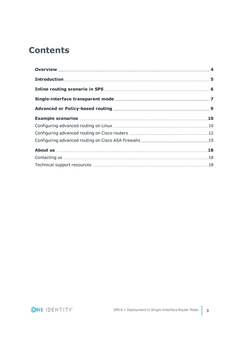# **Contents**

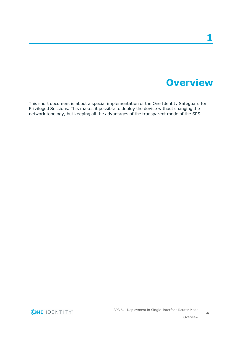# **Overview**

<span id="page-3-0"></span>This short document is about a special implementation of the One Identity Safeguard for Privileged Sessions. This makes it possible to deploy the device without changing the network topology, but keeping all the advantages of the transparent mode of the SPS.

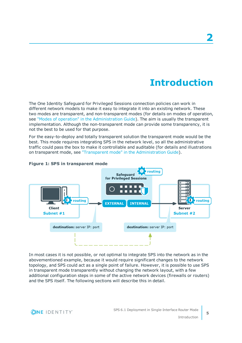# **Introduction**

<span id="page-4-0"></span>The One Identity Safeguard for Privileged Sessions connection policies can work in different network models to make it easy to integrate it into an existing network. These two modes are transparent, and non-transparent modes (for details on modes of operation, see "Modes of operation" in the [Administration](https://support.oneidentity.com/technical-documents/safeguard-for-privileged-sessions/6.1.0/administration-guide/the-concepts-of-one-identity-safeguard-for-privileged-sessions-sps/modes-of-operation/) Guide). The aim is usually the transparent implementation. Although the non-transparent mode can provide some transparency, it is not the best to be used for that purpose.

For the easy-to-deploy and totally transparent solution the transparent mode would be the best. This mode requires integrating SPS in the network level, so all the administrative traffic could pass the box to make it controllable and auditable (for details and illustrations on transparent mode, see "Transparent mode" in the [Administration](https://support.oneidentity.com/technical-documents/safeguard-for-privileged-sessions/6.1.0/administration-guide/the-concepts-of-one-identity-safeguard-for-privileged-sessions-sps/modes-of-operation/transparent-mode/) Guide).



### **Figure 1: SPS in transparent mode**

In most cases it is not possible, or not optimal to integrate SPS into the network as in the abovementioned example, because it would require significant changes to the network topology, and SPS could act as a single point of failure. However, it is possible to use SPS in transparent mode transparently without changing the network layout, with a few additional configuration steps in some of the active network devices (firewalls or routers) and the SPS itself. The following sections will describe this in detail.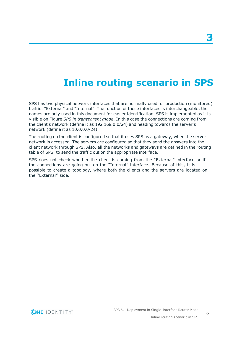# **Inline routing scenario in SPS**

<span id="page-5-0"></span>SPS has two physical network interfaces that are normally used for production (monitored) traffic: "External" and "Internal". The function of these interfaces is interchangeable, the names are only used in this document for easier identification. SPS is implemented as it is visible on Figure *SPS in transparent mode*. In this case the connections are coming from the client's network (define it as 192.168.0.0/24) and heading towards the server's network (define it as 10.0.0.0/24).

The routing on the client is configured so that it uses SPS as a gateway, when the server network is accessed. The servers are configured so that they send the answers into the client network through SPS. Also, all the networks and gateways are defined in the routing table of SPS, to send the traffic out on the appropriate interface.

SPS does not check whether the client is coming from the "External" interface or if the connections are going out on the "Internal" interface. Because of this, it is possible to create a topology, where both the clients and the servers are located on the "External" side.

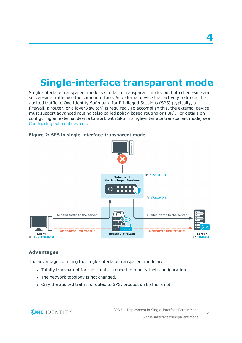# <span id="page-6-0"></span>**Single-interface transparent mode**

Single-interface transparent mode is similar to transparent mode, but both client-side and server-side traffic use the same interface. An external device that actively redirects the audited traffic to One Identity Safeguard for Privileged Sessions (SPS) (typically, a firewall, a router, or a layer3 switch) is required . To accomplish this, the external device must support advanced routing (also called policy-based routing or PBR). For details on configuring an external device to work with SPS in single-interface transparent mode, see Configuring external devices.



### **Figure 2: SPS in single-interface transparent mode**

# **Advantages**

The advantages of using the single-interface transparent mode are:

- Totally transparent for the clients, no need to modify their configuration.
- The network topology is not changed.
- Only the audited traffic is routed to SPS, production traffic is not.

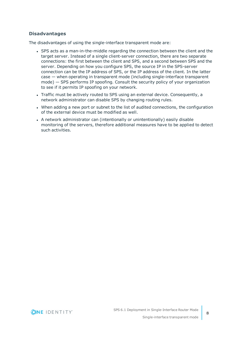# **Disadvantages**

The disadvantages of using the single-interface transparent mode are:

- SPS acts as a man-in-the-middle regarding the connection between the client and the target server. Instead of a single client-server connection, there are two separate connections: the first between the client and SPS, and a second between SPS and the server. Depending on how you configure SPS, the source IP in the SPS-server connection can be the IP address of SPS, or the IP address of the client. In the latter case — when operating in transparent mode (including single-interface transparent mode) — SPS performs IP spoofing. Consult the security policy of your organization to see if it permits IP spoofing on your network.
- Traffic must be actively routed to SPS using an external device. Consequently, a network administrator can disable SPS by changing routing rules.
- When adding a new port or subnet to the list of audited connections, the configuration of the external device must be modified as well.
- A network administrator can (intentionally or unintentionally) easily disable monitoring of the servers, therefore additional measures have to be applied to detect such activities.

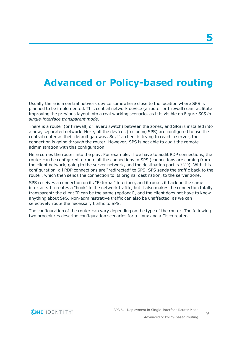# <span id="page-8-0"></span>**Advanced or Policy-based routing**

Usually there is a central network device somewhere close to the location where SPS is planned to be implemented. This central network device (a router or firewall) can facilitate improving the previous layout into a real working scenario, as it is visible on Figure *SPS in single-interface transparent mode*.

There is a router (or firewall, or layer3 switch) between the zones, and SPS is installed into a new, separated network. Here, all the devices (including SPS) are configured to use the central router as their default gateway. So, if a client is trying to reach a server, the connection is going through the router. However, SPS is not able to audit the remote administration with this configuration.

Here comes the router into the play. For example, if we have to audit RDP connections, the router can be configured to route all the connections to SPS (connections are coming from the client network, going to the server network, and the destination port is 3389). With this configuration, all RDP connections are "redirected" to SPS. SPS sends the traffic back to the router, which then sends the connection to its original destination, to the server zone.

SPS receives a connection on its "External" interface, and it routes it back on the same interface. It creates a "hook" in the network traffic, but it also makes the connection totally transparent: the client IP can be the same (optional), and the client does not have to know anything about SPS. Non-administrative traffic can also be unaffected, as we can selectively route the necessary traffic to SPS.

The configuration of the router can vary depending on the type of the router. The following two procedures describe configuration scenarios for a Linux and a Cisco router.

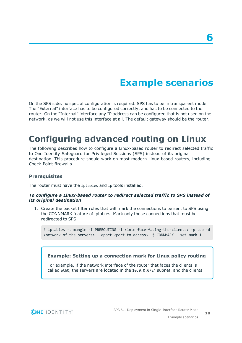# **Example scenarios**

<span id="page-9-0"></span>On the SPS side, no special configuration is required. SPS has to be in transparent mode. The "External" interface has to be configured correctly, and has to be connected to the router. On the "Internal" interface any IP address can be configured that is not used on the network, as we will not use this interface at all. The default gateway should be the router.

# <span id="page-9-1"></span>**Configuring advanced routing on Linux**

The following describes how to configure a Linux-based router to redirect selected traffic to One Identity Safeguard for Privileged Sessions (SPS) instead of its original destination. This procedure should work on most modern Linux-based routers, including Check Point firewalls.

### **Prerequisites**

The router must have the iptables and ip tools installed.

### *To configure a Linux-based router to redirect selected traffic to SPS instead of its original destination*

1. Create the packet filter rules that will mark the connections to be sent to SPS using the CONNMARK feature of iptables. Mark only those connections that must be redirected to SPS.

# iptables -t mangle -I PREROUTING -i <interface-facing-the-clients> -p tcp -d <network-of-the-servers> --dport <port-to-access> -j CONNMARK --set-mark 1

## **Example: Setting up a connection mark for Linux policy routing**

For example, if the network interface of the router that faces the clients is called eth0, the servers are located in the 10.0.0.0/24 subnet, and the clients

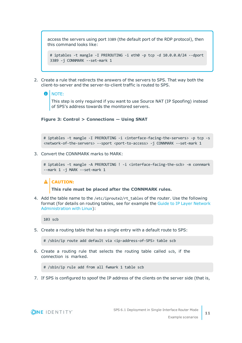access the servers using port 3389 (the default port of the RDP protocol), then this command looks like:

# iptables -t mangle -I PREROUTING -i eth0 -p tcp -d 10.0.0.0/24 --dport 3389 -j CONNMARK --set-mark 1

2. Create a rule that redirects the answers of the servers to SPS. That way both the client-to-server and the server-to-client traffic is routed to SPS.

#### 6 NOTE:

This step is only required if you want to use Source NAT (IP Spoofing) instead of SPS's address towards the monitored servers.

### **Figure 3: Control > Connections — Using SNAT**

# iptables -t mangle -I PREROUTING -i <interface-facing-the-servers> -p tcp -s <network-of-the-servers> --sport <port-to-access> -j CONNMARK --set-mark 1

3. Convert the CONNMARK marks to MARK:

```
# iptables -t mangle -A PREROUTING ! -i <interface-facing-the-scb> -m connmark
--mark 1 -j MARK --set-mark 1
```
### **A** CAUTION:

**This rule must be placed after the CONNMARK rules.**

4. Add the table name to the /etc/iproute2/rt tables of the router. Use the following format (for details on routing tables, see for example the Guide to IP Layer [Network](http://linux-ip.net/html/routing-tables.html) [Administration](http://linux-ip.net/html/routing-tables.html) with Linux):

103 scb

5. Create a routing table that has a single entry with a default route to SPS:

# /sbin/ip route add default via <ip-address-of-SPS> table scb

6. Create a routing rule that selects the routing table called scb, if the connection is marked.

# /sbin/ip rule add from all fwmark 1 table scb

7. If SPS is configured to spoof the IP address of the clients on the server side (that is,

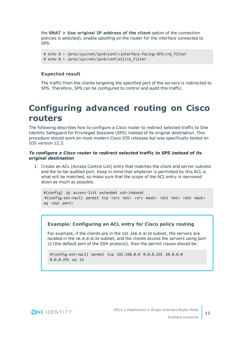the **SNAT > Use original IP address of the client** option of the connection policies is selected), enable spoofing on the router for the interface connected to SPS.

```
# echo 0 > /proc/sys/net/ipv4/conf/<interface-facing-SPS>/rp_filter
# echo 0 > /proc/sys/net/ipv4/conf/all/rp_filter
```
# **Expected result**

The traffic from the clients targeting the specified port of the servers is redirected to SPS. Therefore, SPS can be configured to control and audit this traffic.

# <span id="page-11-0"></span>**Configuring advanced routing on Cisco routers**

The following describes how to configure a Cisco router to redirect selected traffic to One Identity Safeguard for Privileged Sessions (SPS) instead of its original destination. This procedure should work on most modern Cisco IOS releases but was specifically tested on IOS version 12.3.

### *To configure a Cisco router to redirect selected traffic to SPS instead of its original destination*

1. Create an ACL (Access Control List) entry that matches the client and server subnets and the to-be-audited port. Keep in mind that whatever is permitted by this ACL is what will be matched, so make sure that the scope of the ACL entry is narrowed down as much as possible.

#(config) ip access-list extended ssh-inbound #(config-ext-nacl) permit tcp <src net> <src mask> <dst net> <dst mask> eq <dst port>

## **Example: Configuring an ACL entry for Cisco policy routing**

For example, if the clients are in the 192.168.0.0/24 subnet, the servers are located in the 10.0.0.0/24 subnet, and the clients access the servers using port 22 (the default port of the SSH protocol), then the permit clause should be:

```
#(config-ext-nacl) permit tcp 192.168.0.0 0.0.0.255 10.0.0.0
0.0.0.255 eq 22
```
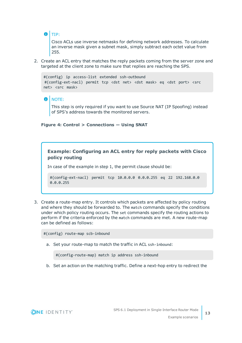## $\theta$  Tip:

Cisco ACLs use inverse netmasks for defining network addresses. To calculate an inverse mask given a subnet mask, simply subtract each octet value from 255.

2. Create an ACL entry that matches the reply packets coming from the server zone and targeted at the client zone to make sure that replies are reaching the SPS.

```
#(config) ip access-list extended ssh-outbound
#(config-ext-nacl) permit tcp <dst net> <dst mask> eq <dst port> <src
net> <src mask>
```
#### NOTE: O

This step is only required if you want to use Source NAT (IP Spoofing) instead of SPS's address towards the monitored servers.

### **Figure 4: Control > Connections — Using SNAT**

## **Example: Configuring an ACL entry for reply packets with Cisco policy routing**

In case of the example in step 1, the permit clause should be:

```
#(config-ext-nacl) permit tcp 10.0.0.0 0.0.0.255 eq 22 192.168.0.0
0.0.0.255
```
3. Create a route-map entry. It controls which packets are affected by policy routing and where they should be forwarded to. The match commands specify the conditions under which policy routing occurs. The set commands specify the routing actions to perform if the criteria enforced by the match commands are met. A new route-map can be defined as follows:

#(config) route-map scb-inbound

a. Set your route-map to match the traffic in ACL ssh-inbound:

#(config-route-map) match ip address ssh-inbound

b. Set an action on the matching traffic. Define a next-hop entry to redirect the

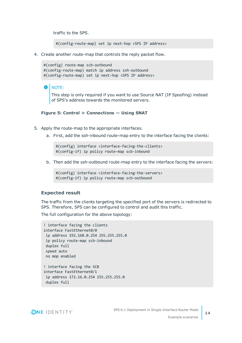traffic to the SPS.

#(config-route-map) set ip next-hop <SPS IP address>

4. Create another route-map that controls the reply packet flow.

```
#(config) route-map scb-outbound
#(config-route-map) match ip address ssh-outbound
#(config-route-map) set ip next-hop <SPS IP address>
```
#### 6 NOTE:

This step is only required if you want to use Source NAT (IP Spoofing) instead of SPS's address towards the monitored servers.

### **Figure 5: Control > Connections — Using SNAT**

- 5. Apply the route-map to the appropriate interfaces.
	- a. First, add the ssh-inbound route-map entry to the interface facing the clients:

#(config) interface <interface-facing-the-clients> #(config-if) ip policy route-map scb-inbound

b. Then add the ssh-outbound route-map entry to the interface facing the servers:

```
#(config) interface <interface-facing-the-servers>
#(config-if) ip policy route-map scb-outbound
```
### **Expected result**

The traffic from the clients targeting the specified port of the servers is redirected to SPS. Therefore, SPS can be configured to control and audit this traffic.

The full configuration for the above topology:

```
! interface facing the clients
interface FastEthernet0/0
ip address 192.168.0.254 255.255.255.0
ip policy route-map scb-inbound
duplex full
speed auto
no mop enabled
! interface facing the SCB
interface FastEthernet0/1
ip address 172.16.0.254 255.255.255.0
duplex full
```
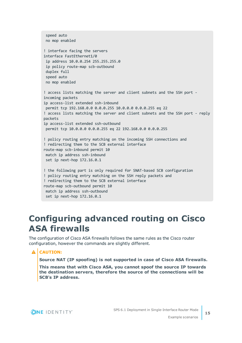```
speed auto
no mop enabled
! interface facing the servers
interface FastEthernet1/0
ip address 10.0.0.254 255.255.255.0
ip policy route-map scb-outbound
duplex full
speed auto
no mop enabled
! access lists matching the server and client subnets and the SSH port -
incoming packets
ip access-list extended ssh-inbound
permit tcp 192.168.0.0 0.0.0.255 10.0.0.0 0.0.0.255 eq 22
! access lists matching the server and client subnets and the SSH port - reply
packets
ip access-list extended ssh-outbound
permit tcp 10.0.0.0 0.0.0.255 eq 22 192.168.0.0 0.0.0.255
! policy routing entry matching on the incoming SSH connections and
! redirecting them to the SCB external interface
route-map scb-inbound permit 10
match ip address ssh-inbound
set ip next-hop 172.16.0.1
! the following part is only required for SNAT-based SCB configuration
! policy routing entry matching on the SSH reply packets and
! redirecting them to the SCB external interface
route-map scb-outbound permit 10
match ip address ssh-outbound
set ip next-hop 172.16.0.1
```
# <span id="page-14-0"></span>**Configuring advanced routing on Cisco ASA firewalls**

The configuration of Cisco ASA firewalls follows the same rules as the Cisco router configuration, however the commands are slightly different.

# **A** CAUTION:

**Source NAT (IP spoofing) is not supported in case of Cisco ASA firewalls.**

**This means that with Cisco ASA, you cannot spoof the source IP towards the destination servers, therefore the source of the connections will be SCB's IP address.**

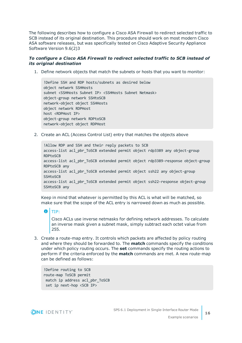The following describes how to configure a Cisco ASA Firewall to redirect selected traffic to SCB instead of its original destination. This procedure should work on most modern Cisco ASA software releases, but was specifically tested on Cisco Adaptive Security Appliance Software Version 9.6(2)3

### *To configure a Cisco ASA Firewall to redirect selected traffic to SCB instead of its original destination*

1. Define network objects that match the subnets or hosts that you want to monitor:

!Define SSH and RDP hosts/subnets as desired below object network SSHHosts subnet <SSHHosts Subnet IP> <SSHHosts Subnet Netmask> object-group network SSHtoSCB network-object object SSHHosts object network RDPHost host <RDPHost IP> object-group network RDPtoSCB network-object object RDPHost

2. Create an ACL (Access Control List) entry that matches the objects above

!Allow RDP and SSH and their reply packets to SCB access-list acl\_pbr\_ToSCB extended permit object rdp3389 any object-group RDPtoSCB access-list acl pbr ToSCB extended permit object rdp3389-response object-group RDPtoSCB any access-list acl\_pbr\_ToSCB extended permit object ssh22 any object-group **SSHtoSCB** access-list acl pbr ToSCB extended permit object ssh22-response object-group SSHtoSCB any

Keep in mind that whatever is permitted by this ACL is what will be matched, so make sure that the scope of the ACL entry is narrowed down as much as possible.

Cisco ACLs use inverse netmasks for defining network addresses. To calculate an inverse mask given a subnet mask, simply subtract each octet value from 255.

3. Create a route-map entry. It controls which packets are affected by policy routing and where they should be forwarded to. The **match** commands specify the conditions under which policy routing occurs. The **set** commands specify the routing actions to perform if the criteria enforced by the **match** commands are met. A new route-map can be defined as follows:

!Define routing to SCB route-map ToSCB permit match ip address acl\_pbr\_ToSCB set ip next-hop <SCB IP>



TIP: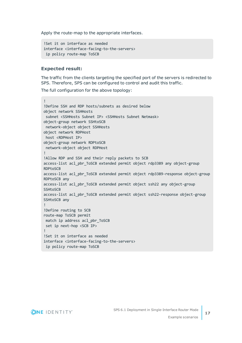Apply the route-map to the appropriate interfaces.

```
!Set it on interface as needed
interface <interface-facing-to-the-servers>
ip policy route-map ToSCB
```
### **Expected result:**

The traffic from the clients targeting the specified port of the servers is redirected to SPS. Therefore, SPS can be configured to control and audit this traffic.

The full configuration for the above topology:

```
!
!Define SSH and RDP hosts/subnets as desired below
object network SSHHosts
 subnet <SSHHosts Subnet IP> <SSHHosts Subnet Netmask>
object-group network SSHtoSCB
network-object object SSHHosts
object network RDPHost
host <RDPHost IP>
object-group network RDPtoSCB
network-object object RDPHost
!
!Allow RDP and SSH and their reply packets to SCB
access-list acl_pbr_ToSCB extended permit object rdp3389 any object-group
RDPtoSCB
access-list acl_pbr_ToSCB extended permit object rdp3389-response object-group
RDPtoSCB any
access-list acl_pbr_ToSCB extended permit object ssh22 any object-group
SSHtoSCB
access-list acl_pbr_ToSCB extended permit object ssh22-response object-group
SSHtoSCB any
!
!Define routing to SCB
route-map ToSCB permit
match ip address acl_pbr_ToSCB
set ip next-hop <SCB IP>
!
!Set it on interface as needed
interface <interface-facing-to-the-servers>
 ip policy route-map ToSCB
```
**ONE IDENTITY**